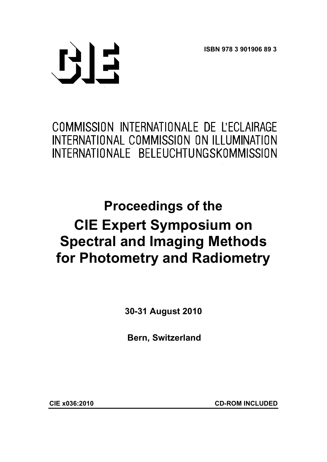**ISBN 978 3 901906 89 3** 



# COMMISSION INTERNATIONALE DE L'ECLAIRAGE INTERNATIONAL COMMISSION ON ILLUMINATION INTERNATIONALE BELEUCHTUNGSKOMMISSION

# **Proceedings of the CIE Expert Symposium on Spectral and Imaging Methods for Photometry and Radiometry**

**30-31 August 2010** 

**Bern, Switzerland** 

**CIE x036:2010 CD-ROM INCLUDED**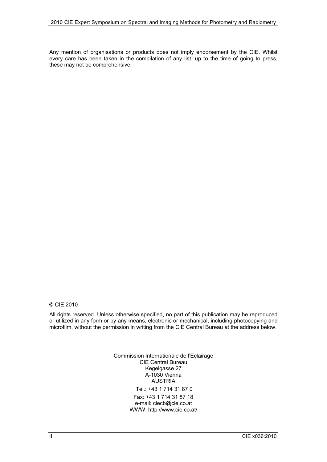Any mention of organisations or products does not imply endorsement by the CIE. Whilst every care has been taken in the compilation of any list, up to the time of going to press, these may not be comprehensive.

© CIE 2010

All rights reserved. Unless otherwise specified, no part of this publication may be reproduced or utilized in any form or by any means, electronic or mechanical, including photocopying and microfilm, without the permission in writing from the CIE Central Bureau at the address below.

> Commission Internationale de l'Eclairage CIE Central Bureau Kegelgasse 27 A-1030 Vienna AUSTRIA Tel.: +43 1 714 31 87 0 Fax: +43 1 714 31 87 18 e-mail: ciecb@cie.co.at WWW: http://www.cie.co.at/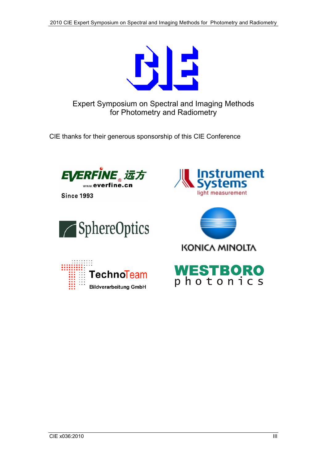

Expert Symposium on Spectral and Imaging Methods for Photometry and Radiometry

CIE thanks for their generous sponsorship of this CIE Conference



**Since 1993** 



TechnoTeam

**Bildverarbeitung GmbH** 





KONICA MINOLTA



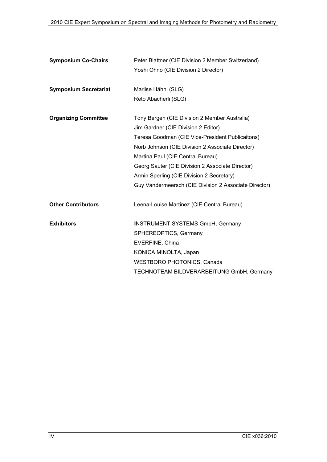| <b>Symposium Co-Chairs</b>   | Peter Blattner (CIE Division 2 Member Switzerland)    |
|------------------------------|-------------------------------------------------------|
|                              | Yoshi Ohno (CIE Division 2 Director)                  |
|                              |                                                       |
| <b>Symposium Secretariat</b> | Marlise Hähni (SLG)                                   |
|                              | Reto Abächerli (SLG)                                  |
|                              |                                                       |
| <b>Organizing Committee</b>  | Tony Bergen (CIE Division 2 Member Australia)         |
|                              | Jim Gardner (CIE Division 2 Editor)                   |
|                              | Teresa Goodman (CIE Vice-President Publicaitons)      |
|                              | Norb Johnson (CIE Division 2 Associate Director)      |
|                              | Martina Paul (CIE Central Bureau)                     |
|                              | Georg Sauter (CIE Division 2 Associate Director)      |
|                              | Armin Sperling (CIE Division 2 Secretary)             |
|                              | Guy Vandermeersch (CIE Division 2 Associate Director) |
|                              |                                                       |
| <b>Other Contributors</b>    | Leena-Louise Martinez (CIE Central Bureau)            |
|                              |                                                       |
| <b>Exhibitors</b>            | <b>INSTRUMENT SYSTEMS GmbH, Germany</b>               |
|                              | SPHEREOPTICS, Germany                                 |
|                              | EVERFINE, China                                       |
|                              | KONICA MINOLTA, Japan                                 |
|                              | <b>WESTBORO PHOTONICS, Canada</b>                     |
|                              | TECHNOTEAM BILDVERARBEITUNG GmbH, Germany             |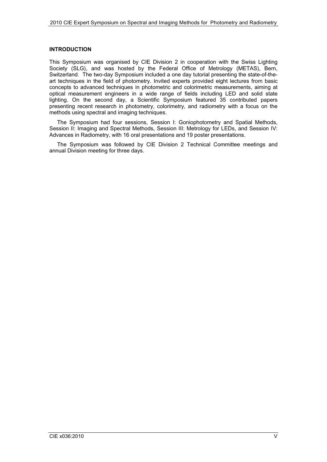#### **INTRODUCTION**

This Symposium was organised by CIE Division 2 in cooperation with the Swiss Lighting Society (SLG), and was hosted by the Federal Office of Metrology (METAS), Bern, Switzerland. The two-day Symposium included a one day tutorial presenting the state-of-theart techniques in the field of photometry. Invited experts provided eight lectures from basic concepts to advanced techniques in photometric and colorimetric measurements, aiming at optical measurement engineers in a wide range of fields including LED and solid state lighting. On the second day, a Scientific Symposium featured 35 contributed papers presenting recent research in photometry, colorimetry, and radiometry with a focus on the methods using spectral and imaging techniques.

The Symposium had four sessions, Session I: Goniophotometry and Spatial Methods, Session II: Imaging and Spectral Methods, Session III: Metrology for LEDs, and Session IV: Advances in Radiometry, with 16 oral presentations and 19 poster presentations.

The Symposium was followed by CIE Division 2 Technical Committee meetings and annual Division meeting for three days.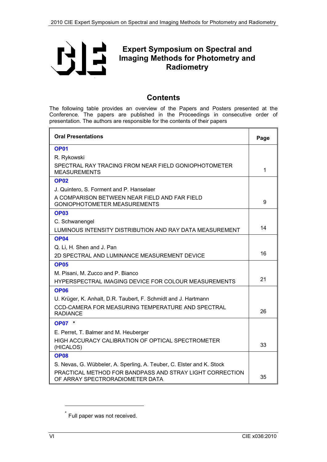<span id="page-5-0"></span>

## **Expert Symposium on Spectral and Imaging Methods for Photometry and Radiometry**

### **Contents**

The following table provides an overview of the Papers and Posters presented at the Conference. The papers are published in the Proceedings in consecutive order of presentation. The authors are responsible for the contents of their papers

| <b>Oral Presentations</b>                                                                   |    |
|---------------------------------------------------------------------------------------------|----|
| OP <sub>01</sub>                                                                            |    |
| R. Rykowski                                                                                 |    |
| SPECTRAL RAY TRACING FROM NEAR FIELD GONIOPHOTOMETER<br><b>MEASUREMENTS</b>                 | 1  |
| <b>OP02</b>                                                                                 |    |
| J. Quintero, S. Forment and P. Hanselaer                                                    |    |
| A COMPARISON BETWEEN NEAR FIELD AND FAR FIELD<br>GONIOPHOTOMETER MEASUREMENTS               | 9  |
| OP <sub>03</sub>                                                                            |    |
| C. Schwanengel                                                                              |    |
| LUMINOUS INTENSITY DISTRIBUTION AND RAY DATA MEASUREMENT                                    | 14 |
| <b>OP04</b>                                                                                 |    |
| Q. Li, H. Shen and J. Pan                                                                   |    |
| 2D SPECTRAL AND LUMINANCE MEASUREMENT DEVICE                                                | 16 |
| <b>OP05</b>                                                                                 |    |
| M. Pisani, M. Zucco and P. Bianco                                                           |    |
| HYPERSPECTRAL IMAGING DEVICE FOR COLOUR MEASUREMENTS                                        | 21 |
| <b>OP06</b>                                                                                 |    |
| U. Krüger, K. Anhalt, D.R. Taubert, F. Schmidt and J. Hartmann                              |    |
| CCD-CAMERA FOR MEASURING TEMPERATURE AND SPECTRAL<br><b>RADIANCE</b>                        | 26 |
| <b>OP07</b> *                                                                               |    |
| E. Perret, T. Balmer and M. Heuberger                                                       |    |
| HIGH ACCURACY CALIBRATION OF OPTICAL SPECTROMETER<br>(HICALOS)                              | 33 |
| <b>OP08</b>                                                                                 |    |
| S. Nevas, G. Wübbeler, A. Sperling, A. Teuber, C. Elster and K. Stock                       |    |
| PRACTICAL METHOD FOR BANDPASS AND STRAY LIGHT CORRECTION<br>OF ARRAY SPECTRORADIOMETER DATA | 35 |

l

Full paper was not received.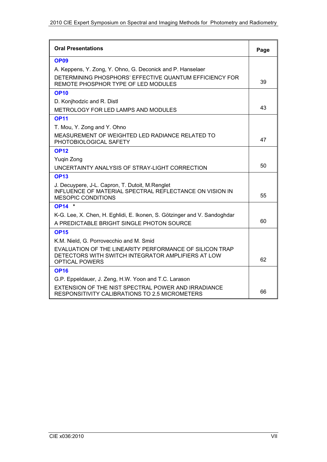| <b>Oral Presentations</b>                                                                                                               | Page |
|-----------------------------------------------------------------------------------------------------------------------------------------|------|
| <b>OP09</b>                                                                                                                             |      |
| A. Keppens, Y. Zong, Y. Ohno, G. Deconick and P. Hanselaer                                                                              |      |
| DETERMINING PHOSPHORS' EFFECTIVE QUANTUM EFFICIENCY FOR<br>REMOTE PHOSPHOR TYPE OF LED MODULES                                          | 39   |
| <b>OP10</b>                                                                                                                             |      |
| D. Konjhodzic and R. Distl                                                                                                              |      |
| METROLOGY FOR LED LAMPS AND MODULES                                                                                                     | 43   |
| <b>OP11</b>                                                                                                                             |      |
| T. Mou, Y. Zong and Y. Ohno                                                                                                             |      |
| MEASUREMENT OF WEIGHTED LED RADIANCE RELATED TO<br>PHOTOBIOLOGICAL SAFETY                                                               | 47   |
| <b>OP12</b>                                                                                                                             |      |
| Yugin Zong                                                                                                                              |      |
| UNCERTAINTY ANALYSIS OF STRAY-LIGHT CORRECTION                                                                                          | 50   |
| <b>OP13</b>                                                                                                                             |      |
| J. Decuypere, J-L. Capron, T. Dutoit, M.Renglet<br>INFLUENCE OF MATERIAL SPECTRAL REFLECTANCE ON VISION IN<br><b>MESOPIC CONDITIONS</b> | 55   |
| <b>OP14</b> *                                                                                                                           |      |
| K-G. Lee, X. Chen, H. Eghlidi, E. Ikonen, S. Götzinger and V. Sandoghdar                                                                |      |
| A PREDICTABLE BRIGHT SINGLE PHOTON SOURCE                                                                                               | 60   |
| <b>OP15</b>                                                                                                                             |      |
| K.M. Nield, G. Porrovecchio and M. Smid                                                                                                 |      |
| EVALUATION OF THE LINEARITY PERFORMANCE OF SILICON TRAP<br>DETECTORS WITH SWITCH INTEGRATOR AMPLIFIERS AT LOW<br><b>OPTICAL POWERS</b>  | 62   |
| <b>OP16</b>                                                                                                                             |      |
| G.P. Eppeldauer, J. Zeng, H.W. Yoon and T.C. Larason                                                                                    |      |
| EXTENSION OF THE NIST SPECTRAL POWER AND IRRADIANCE<br>RESPONSITIVITY CALIBRATIONS TO 2.5 MICROMETERS                                   | 66   |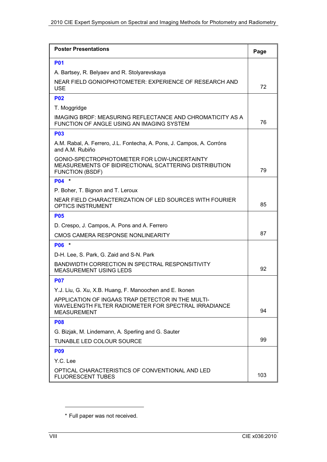| <b>Poster Presentations</b>                                                                                                     | Page |
|---------------------------------------------------------------------------------------------------------------------------------|------|
| <b>P01</b>                                                                                                                      |      |
| A. Bartsey, R. Belyaev and R. Stolyarevskaya                                                                                    |      |
| NEAR FIELD GONIOPHOTOMETER: EXPERIENCE OF RESEARCH AND<br><b>USE</b>                                                            | 72   |
| <b>P02</b>                                                                                                                      |      |
| T. Moggridge                                                                                                                    |      |
| IMAGING BRDF: MEASURING REFLECTANCE AND CHROMATICITY AS A<br>FUNCTION OF ANGLE USING AN IMAGING SYSTEM                          | 76   |
| <b>P03</b>                                                                                                                      |      |
| A.M. Rabal, A. Ferrero, J.L. Fontecha, A. Pons, J. Campos, A. Corróns<br>and A.M. Rubiño                                        |      |
| GONIO-SPECTROPHOTOMETER FOR LOW-UNCERTAINTY<br>MEASUREMENTS OF BIDIRECTIONAL SCATTERING DISTRIBUTION<br><b>FUNCTION (BSDF)</b>  | 79   |
| P04 *                                                                                                                           |      |
| P. Boher, T. Bignon and T. Leroux                                                                                               |      |
| NEAR FIELD CHARACTERIZATION OF LED SOURCES WITH FOURIER<br><b>OPTICS INSTRUMENT</b>                                             | 85   |
| <b>P05</b>                                                                                                                      |      |
| D. Crespo, J. Campos, A. Pons and A. Ferrero                                                                                    |      |
| CMOS CAMERA RESPONSE NONLINEARITY                                                                                               |      |
| P06 *                                                                                                                           |      |
| D-H. Lee, S. Park, G. Zaid and S-N. Park                                                                                        |      |
| BANDWIDTH CORRECTION IN SPECTRAL RESPONSITIVITY<br><b>MEASUREMENT USING LEDS</b>                                                | 92   |
| <b>P07</b>                                                                                                                      |      |
| Y.J. Liu, G. Xu, X.B. Huang, F. Manoochen and E. Ikonen                                                                         |      |
| APPLICATION OF INGAAS TRAP DETECTOR IN THE MULTI-<br>WAVELENGTH FILTER RADIOMETER FOR SPECTRAL IRRADIANCE<br><b>MEASUREMENT</b> | 94   |
| <b>P08</b>                                                                                                                      |      |
| G. Bizjak, M. Lindemann, A. Sperling and G. Sauter                                                                              |      |
| TUNABLE LED COLOUR SOURCE                                                                                                       | 99   |
| <b>P09</b>                                                                                                                      |      |
| Y.C. Lee                                                                                                                        |      |
| OPTICAL CHARACTERISTICS OF CONVENTIONAL AND LED<br><b>FLUORESCENT TUBES</b>                                                     | 103  |

l

<sup>\*</sup> † Full paper was not received.